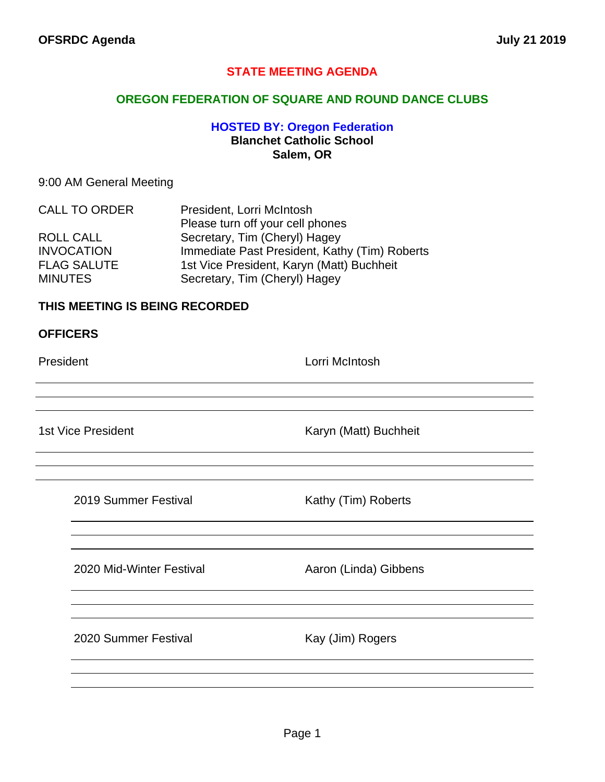# **STATE MEETING AGENDA**

## **OREGON FEDERATION OF SQUARE AND ROUND DANCE CLUBS**

# **HOSTED BY: Oregon Federation Blanchet Catholic School Salem, OR**

## 9:00 AM General Meeting

| <b>CALL TO ORDER</b> | President, Lorri McIntosh                     |
|----------------------|-----------------------------------------------|
|                      | Please turn off your cell phones              |
| ROLL CALL            | Secretary, Tim (Cheryl) Hagey                 |
| <b>INVOCATION</b>    | Immediate Past President, Kathy (Tim) Roberts |
| <b>FLAG SALUTE</b>   | 1st Vice President, Karyn (Matt) Buchheit     |
| <b>MINUTES</b>       | Secretary, Tim (Cheryl) Hagey                 |

## **THIS MEETING IS BEING RECORDED**

#### **OFFICERS**

President **Lorri McIntosh** 

1st Vice President **Karyn (Matt)** Buchheit

2019 Summer Festival **Kathy (Tim) Roberts** 

2020 Mid-Winter Festival **Aaron** (Linda) Gibbens

2020 Summer Festival Kay (Jim) Rogers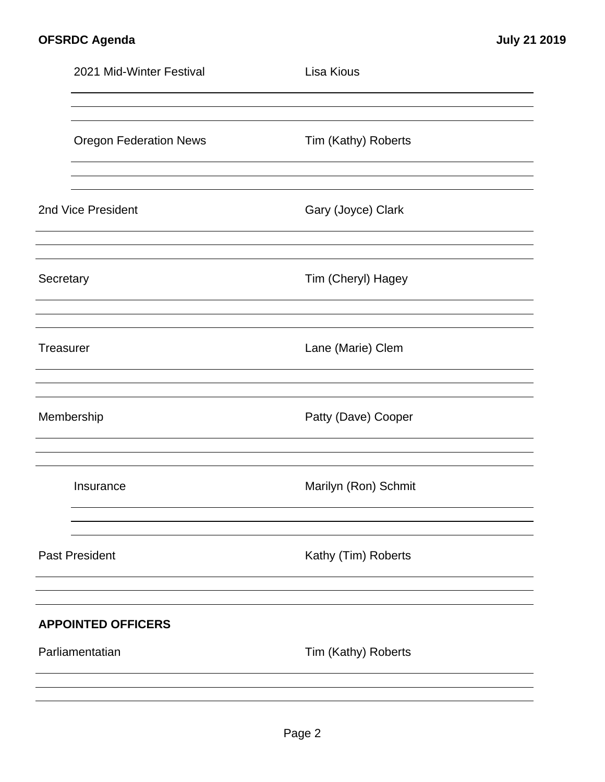|           | 2021 Mid-Winter Festival      | Lisa Kious           |  |
|-----------|-------------------------------|----------------------|--|
|           |                               |                      |  |
|           | <b>Oregon Federation News</b> | Tim (Kathy) Roberts  |  |
|           |                               |                      |  |
|           | 2nd Vice President            | Gary (Joyce) Clark   |  |
|           |                               |                      |  |
| Secretary |                               | Tim (Cheryl) Hagey   |  |
|           |                               |                      |  |
| Treasurer |                               | Lane (Marie) Clem    |  |
|           |                               |                      |  |
|           | Membership                    | Patty (Dave) Cooper  |  |
|           |                               |                      |  |
|           | Insurance                     | Marilyn (Ron) Schmit |  |
|           |                               |                      |  |
|           | <b>Past President</b>         | Kathy (Tim) Roberts  |  |
|           |                               |                      |  |
|           | <b>APPOINTED OFFICERS</b>     |                      |  |
|           | Parliamentatian               | Tim (Kathy) Roberts  |  |
|           |                               |                      |  |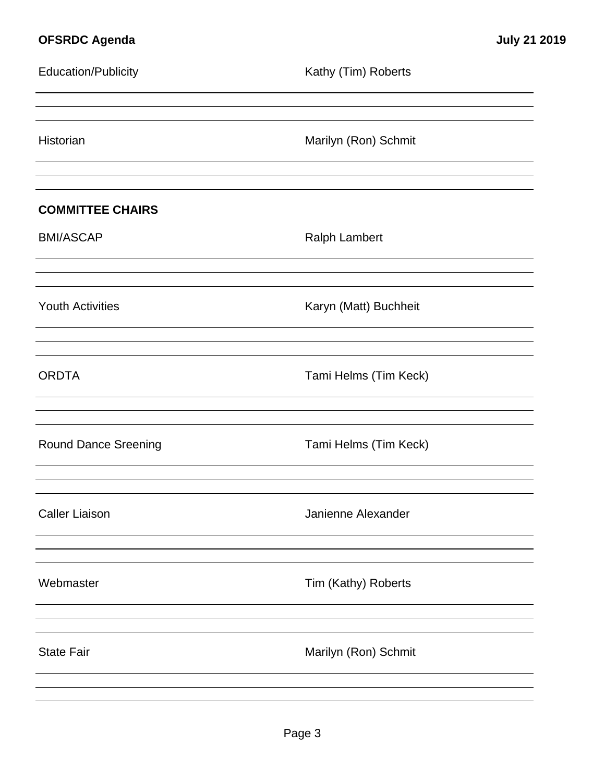| <b>Education/Publicity</b>  | Kathy (Tim) Roberts   |
|-----------------------------|-----------------------|
| Historian                   | Marilyn (Ron) Schmit  |
| <b>COMMITTEE CHAIRS</b>     |                       |
| <b>BMI/ASCAP</b>            | <b>Ralph Lambert</b>  |
| <b>Youth Activities</b>     | Karyn (Matt) Buchheit |
| <b>ORDTA</b>                | Tami Helms (Tim Keck) |
| <b>Round Dance Sreening</b> | Tami Helms (Tim Keck) |
| <b>Caller Liaison</b>       | Janienne Alexander    |
| Webmaster                   | Tim (Kathy) Roberts   |
| <b>State Fair</b>           | Marilyn (Ron) Schmit  |
|                             |                       |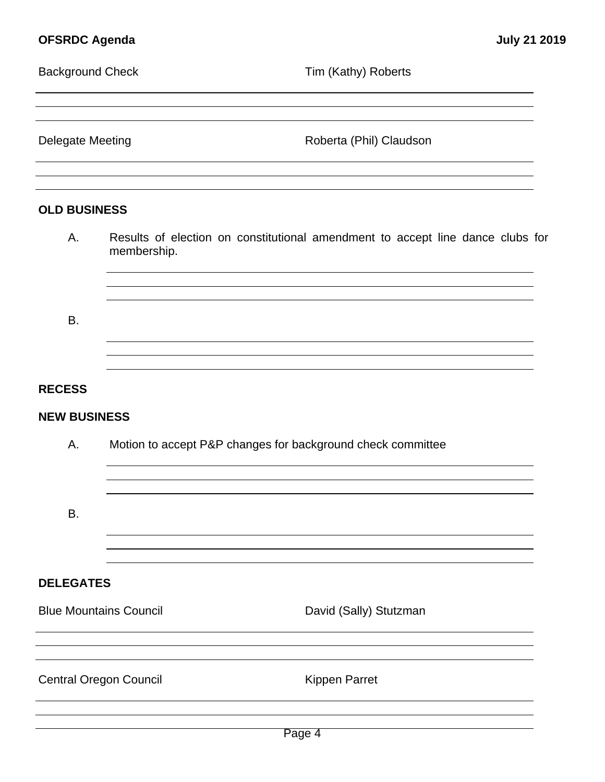| <b>Background Check</b><br><b>Delegate Meeting</b> |                                                             | Tim (Kathy) Roberts                                                            |
|----------------------------------------------------|-------------------------------------------------------------|--------------------------------------------------------------------------------|
|                                                    |                                                             | Roberta (Phil) Claudson                                                        |
| <b>OLD BUSINESS</b>                                |                                                             |                                                                                |
| Α.                                                 | membership.                                                 | Results of election on constitutional amendment to accept line dance clubs for |
| <b>B.</b>                                          |                                                             |                                                                                |
| <b>RECESS</b>                                      |                                                             |                                                                                |
| <b>NEW BUSINESS</b>                                |                                                             |                                                                                |
| Α.                                                 | Motion to accept P&P changes for background check committee |                                                                                |
| B.                                                 |                                                             |                                                                                |
| <b>DELEGATES</b>                                   |                                                             |                                                                                |
|                                                    | <b>Blue Mountains Council</b>                               | David (Sally) Stutzman                                                         |
|                                                    | <b>Central Oregon Council</b>                               | <b>Kippen Parret</b>                                                           |
|                                                    |                                                             |                                                                                |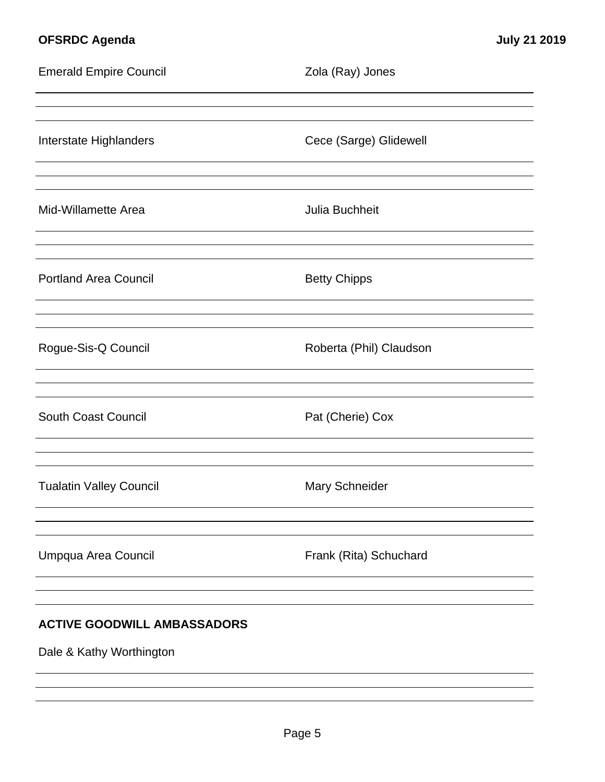# **OFSRDC Agenda July 21 2019**

| <b>Emerald Empire Council</b>      | Zola (Ray) Jones        |  |  |
|------------------------------------|-------------------------|--|--|
| Interstate Highlanders             | Cece (Sarge) Glidewell  |  |  |
| Mid-Willamette Area                | Julia Buchheit          |  |  |
| <b>Portland Area Council</b>       | <b>Betty Chipps</b>     |  |  |
| Rogue-Sis-Q Council                | Roberta (Phil) Claudson |  |  |
| <b>South Coast Council</b>         | Pat (Cherie) Cox        |  |  |
| <b>Tualatin Valley Council</b>     | Mary Schneider          |  |  |
| Umpqua Area Council                | Frank (Rita) Schuchard  |  |  |
| <b>ACTIVE GOODWILL AMBASSADORS</b> |                         |  |  |

Dale & Kathy Worthington

<u> 1980 - Johann Barbara, martxa alemaniar a</u>